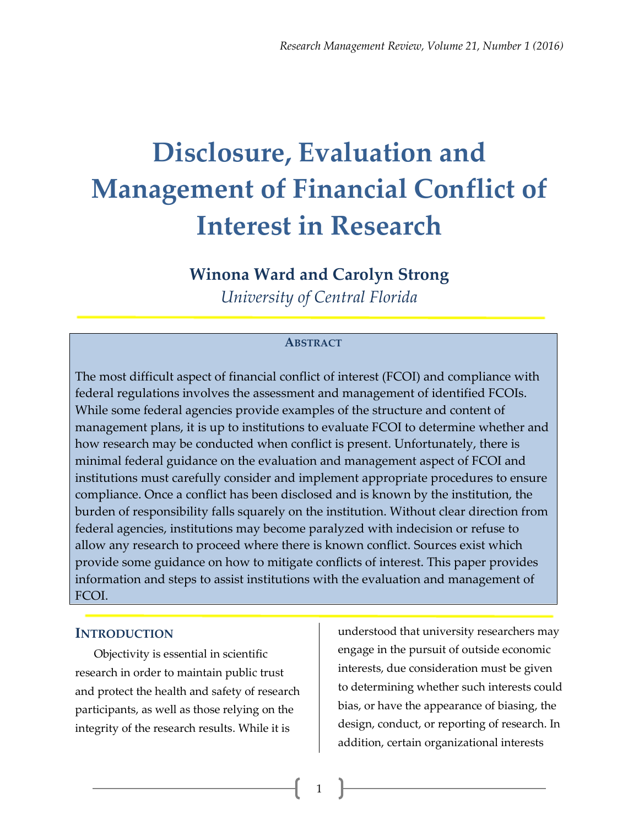# **Disclosure, Evaluation and Management of Financial Conflict of Interest in Research**

# **Winona Ward and Carolyn Strong**

*University of Central Florida*

#### **ABSTRACT**

The most difficult aspect of financial conflict of interest (FCOI) and compliance with federal regulations involves the assessment and management of identified FCOIs. While some federal agencies provide examples of the structure and content of management plans, it is up to institutions to evaluate FCOI to determine whether and how research may be conducted when conflict is present. Unfortunately, there is minimal federal guidance on the evaluation and management aspect of FCOI and institutions must carefully consider and implement appropriate procedures to ensure compliance. Once a conflict has been disclosed and is known by the institution, the burden of responsibility falls squarely on the institution. Without clear direction from federal agencies, institutions may become paralyzed with indecision or refuse to allow any research to proceed where there is known conflict. Sources exist which provide some guidance on how to mitigate conflicts of interest. This paper provides information and steps to assist institutions with the evaluation and management of FCOI.

1

## **INTRODUCTION**

Objectivity is essential in scientific research in order to maintain public trust and protect the health and safety of research participants, as well as those relying on the integrity of the research results. While it is

understood that university researchers may engage in the pursuit of outside economic interests, due consideration must be given to determining whether such interests could bias, or have the appearance of biasing, the design, conduct, or reporting of research. In addition, certain organizational interests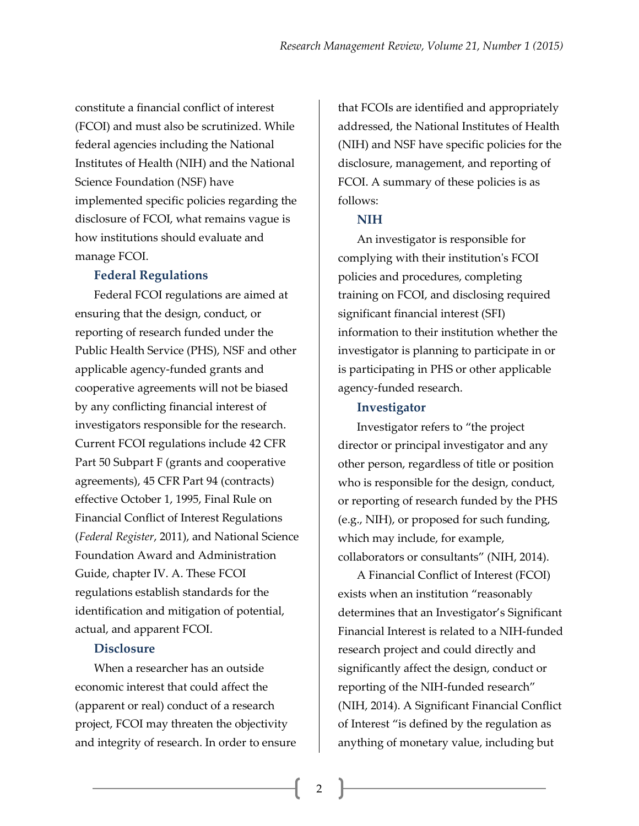constitute a financial conflict of interest (FCOI) and must also be scrutinized. While federal agencies including the National Institutes of Health (NIH) and the National Science Foundation (NSF) have implemented specific policies regarding the disclosure of FCOI, what remains vague is how institutions should evaluate and manage FCOI.

### **Federal Regulations**

Federal FCOI regulations are aimed at ensuring that the design, conduct, or reporting of research funded under the Public Health Service (PHS), NSF and other applicable agency-funded grants and cooperative agreements will not be biased by any conflicting financial interest of investigators responsible for the research. Current FCOI regulations include 42 CFR Part 50 Subpart F (grants and cooperative agreements), 45 CFR Part 94 (contracts) effective October 1, 1995, Final Rule on Financial Conflict of Interest Regulations (*Federal Register*, 2011), and National Science Foundation Award and Administration Guide, chapter IV. A. These FCOI regulations establish standards for the identification and mitigation of potential, actual, and apparent FCOI.

#### **Disclosure**

When a researcher has an outside economic interest that could affect the (apparent or real) conduct of a research project, FCOI may threaten the objectivity and integrity of research. In order to ensure that FCOIs are identified and appropriately addressed, the National Institutes of Health (NIH) and NSF have specific policies for the disclosure, management, and reporting of FCOI. A summary of these policies is as follows:

## **NIH**

An investigator is responsible for complying with their institution's FCOI policies and procedures, completing training on FCOI, and disclosing required significant financial interest (SFI) information to their institution whether the investigator is planning to participate in or is participating in PHS or other applicable agency-funded research.

#### **Investigator**

Investigator refers to "the project director or principal investigator and any other person, regardless of title or position who is responsible for the design, conduct, or reporting of research funded by the PHS (e.g., NIH), or proposed for such funding, which may include, for example, collaborators or consultants" (NIH, 2014).

A Financial Conflict of Interest (FCOI) exists when an institution "reasonably determines that an Investigator's Significant Financial Interest is related to a NIH-funded research project and could directly and significantly affect the design, conduct or reporting of the NIH-funded research" (NIH, 2014). A Significant Financial Conflict of Interest "is defined by the regulation as anything of monetary value, including but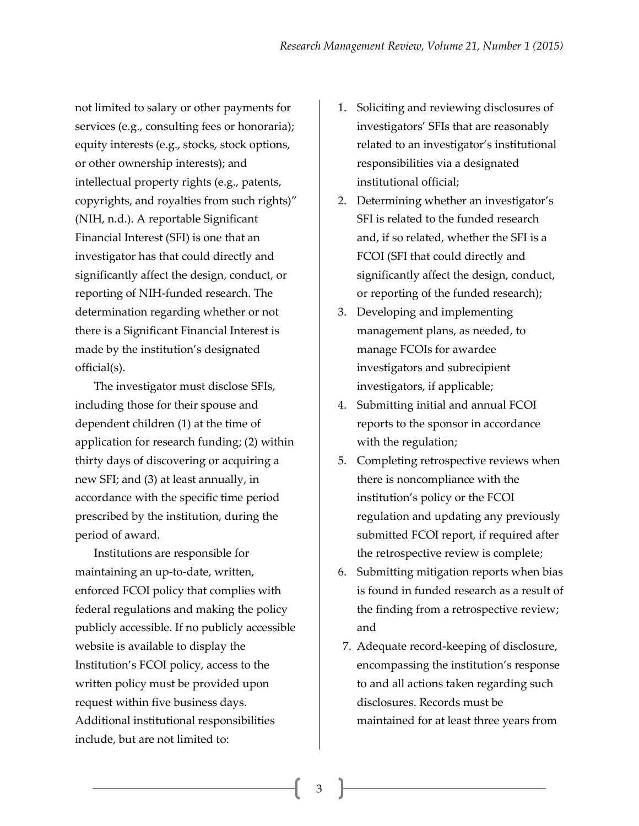not limited to salary or other payments for services (e.g., consulting fees or honoraria); equity interests (e.g., stocks, stock options, or other ownership interests); and intellectual property rights (e.g., patents, copyrights, and royalties from such rights)" (NIH, n.d.). A reportable Significant Financial Interest (SFI) is one that an investigator has that could directly and significantly affect the design, conduct, or reporting of NIH-funded research. The determination regarding whether or not there is a Significant Financial Interest is made by the institution's designated official(s).

The investigator must disclose SFIs, including those for their spouse and dependent children (1) at the time of application for research funding; (2) within thirty days of discovering or acquiring a new SFI; and (3) at least annually, in accordance with the specific time period prescribed by the institution, during the period of award.

Institutions are responsible for maintaining an up-to-date, written, enforced FCOI policy that complies with federal regulations and making the policy publicly accessible. If no publicly accessible website is available to display the Institution's FCOI policy, access to the written policy must be provided upon request within five business days. Additional institutional responsibilities include, but are not limited to:

- 1. Soliciting and reviewing disclosures of investigators' SFIs that are reasonably related to an investigator's institutional responsibilities via a designated institutional official;
- 2. Determining whether an investigator's SFI is related to the funded research and, if so related, whether the SFI is a FCOI (SFI that could directly and significantly affect the design, conduct, or reporting of the funded research);
- 3. Developing and implementing management plans, as needed, to manage FCOIs for awardee investigators and subrecipient investigators, if applicable;
- 4. Submitting initial and annual FCOI reports to the sponsor in accordance with the regulation;
- 5. Completing retrospective reviews when there is noncompliance with the institution's policy or the FCOI regulation and updating any previously submitted FCOI report, if required after the retrospective review is complete;
- 6. Submitting mitigation reports when bias is found in funded research as a result of the finding from a retrospective review; and
- 7. Adequate record-keeping of disclosure, encompassing the institution's response to and all actions taken regarding such disclosures. Records must be maintained for at least three years from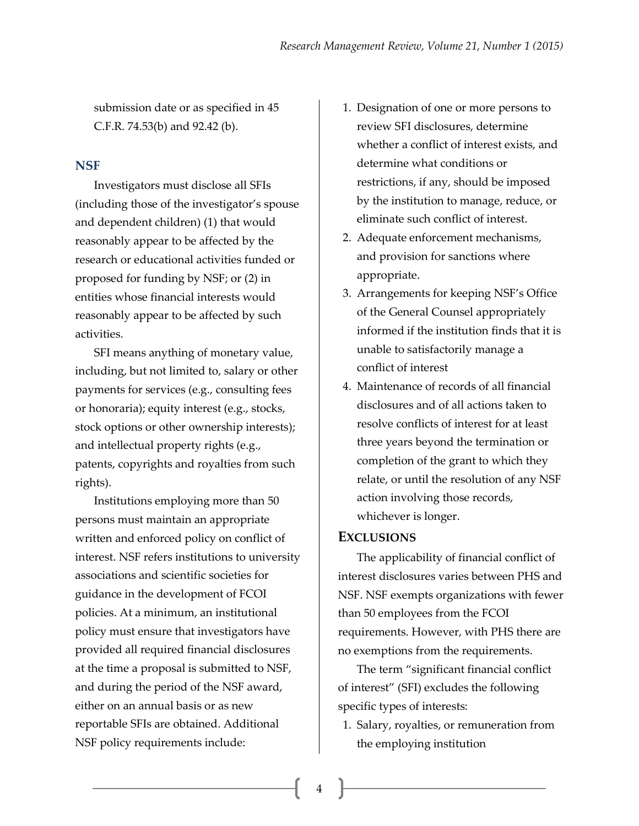submission date or as specified in 45 C.F.R. 74.53(b) and 92.42 (b).

#### **NSF**

Investigators must disclose all SFIs (including those of the investigator's spouse and dependent children) (1) that would reasonably appear to be affected by the research or educational activities funded or proposed for funding by NSF; or (2) in entities whose financial interests would reasonably appear to be affected by such activities.

SFI means anything of monetary value, including, but not limited to, salary or other payments for services (e.g., consulting fees or honoraria); equity interest (e.g., stocks, stock options or other ownership interests); and intellectual property rights (e.g., patents, copyrights and royalties from such rights).

Institutions employing more than 50 persons must maintain an appropriate written and enforced policy on conflict of interest. NSF refers institutions to university associations and scientific societies for guidance in the development of FCOI policies. At a minimum, an institutional policy must ensure that investigators have provided all required financial disclosures at the time a proposal is submitted to NSF, and during the period of the NSF award, either on an annual basis or as new reportable SFIs are obtained. Additional NSF policy requirements include:

- 1. Designation of one or more persons to review SFI disclosures, determine whether a conflict of interest exists, and determine what conditions or restrictions, if any, should be imposed by the institution to manage, reduce, or eliminate such conflict of interest.
- 2. Adequate enforcement mechanisms, and provision for sanctions where appropriate.
- 3. Arrangements for keeping NSF's Office of the General Counsel appropriately informed if the institution finds that it is unable to satisfactorily manage a conflict of interest
- 4. Maintenance of records of all financial disclosures and of all actions taken to resolve conflicts of interest for at least three years beyond the termination or completion of the grant to which they relate, or until the resolution of any NSF action involving those records, whichever is longer.

#### **EXCLUSIONS**

The applicability of financial conflict of interest disclosures varies between PHS and NSF. NSF exempts organizations with fewer than 50 employees from the FCOI requirements. However, with PHS there are no exemptions from the requirements.

The term "significant financial conflict of interest" (SFI) excludes the following specific types of interests:

1. Salary, royalties, or remuneration from the employing institution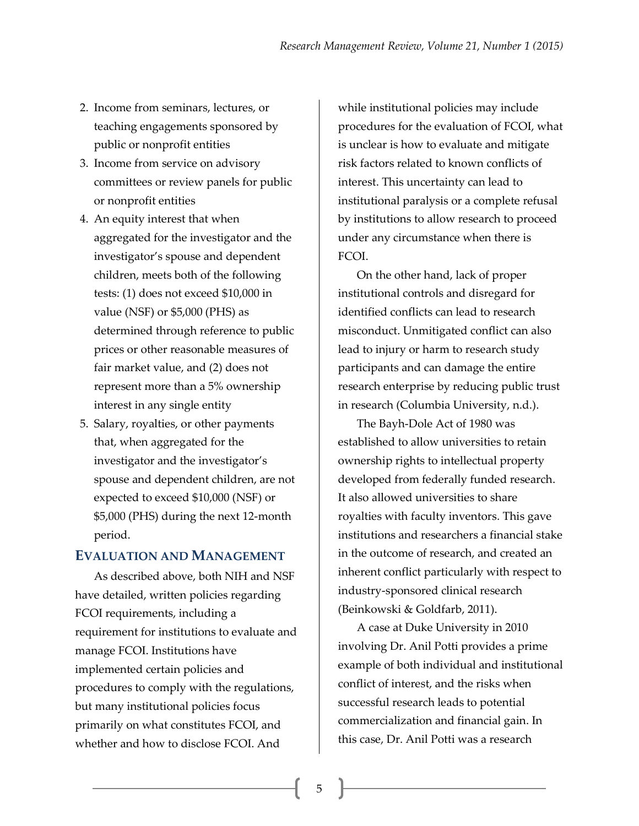- 2. Income from seminars, lectures, or teaching engagements sponsored by public or nonprofit entities
- 3. Income from service on advisory committees or review panels for public or nonprofit entities
- 4. An equity interest that when aggregated for the investigator and the investigator's spouse and dependent children, meets both of the following tests: (1) does not exceed \$10,000 in value (NSF) or \$5,000 (PHS) as determined through reference to public prices or other reasonable measures of fair market value, and (2) does not represent more than a 5% ownership interest in any single entity
- 5. Salary, royalties, or other payments that, when aggregated for the investigator and the investigator's spouse and dependent children, are not expected to exceed \$10,000 (NSF) or \$5,000 (PHS) during the next 12-month period.

## **EVALUATION AND MANAGEMENT**

As described above, both NIH and NSF have detailed, written policies regarding FCOI requirements, including a requirement for institutions to evaluate and manage FCOI. Institutions have implemented certain policies and procedures to comply with the regulations, but many institutional policies focus primarily on what constitutes FCOI, and whether and how to disclose FCOI. And

while institutional policies may include procedures for the evaluation of FCOI, what is unclear is how to evaluate and mitigate risk factors related to known conflicts of interest. This uncertainty can lead to institutional paralysis or a complete refusal by institutions to allow research to proceed under any circumstance when there is FCOI.

On the other hand, lack of proper institutional controls and disregard for identified conflicts can lead to research misconduct. Unmitigated conflict can also lead to injury or harm to research study participants and can damage the entire research enterprise by reducing public trust in research (Columbia University, n.d.).

The Bayh-Dole Act of 1980 was established to allow universities to retain ownership rights to intellectual property developed from federally funded research. It also allowed universities to share royalties with faculty inventors. This gave institutions and researchers a financial stake in the outcome of research, and created an inherent conflict particularly with respect to industry-sponsored clinical research (Beinkowski & Goldfarb, 2011).

A case at Duke University in 2010 involving Dr. Anil Potti provides a prime example of both individual and institutional conflict of interest, and the risks when successful research leads to potential commercialization and financial gain. In this case, Dr. Anil Potti was a research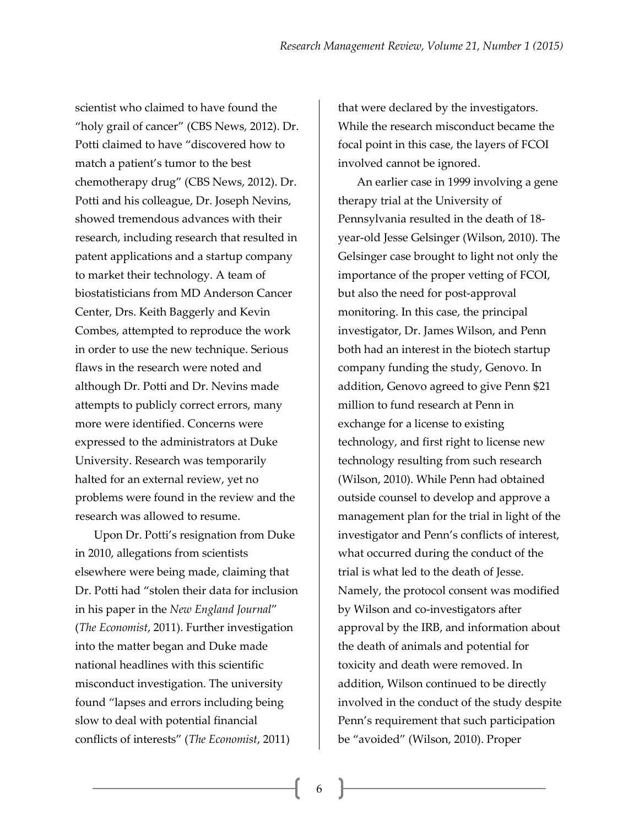scientist who claimed to have found the "holy grail of cancer" (CBS News, 2012). Dr. Potti claimed to have "discovered how to match a patient's tumor to the best chemotherapy drug" (CBS News, 2012). Dr. Potti and his colleague, Dr. Joseph Nevins, showed tremendous advances with their research, including research that resulted in patent applications and a startup company to market their technology. A team of biostatisticians from MD Anderson Cancer Center, Drs. Keith Baggerly and Kevin Combes, attempted to reproduce the work in order to use the new technique. Serious flaws in the research were noted and although Dr. Potti and Dr. Nevins made attempts to publicly correct errors, many more were identified. Concerns were expressed to the administrators at Duke University. Research was temporarily halted for an external review, yet no problems were found in the review and the research was allowed to resume.

Upon Dr. Potti's resignation from Duke in 2010, allegations from scientists elsewhere were being made, claiming that Dr. Potti had "stolen their data for inclusion in his paper in the *New England Journal*" (*The Economist*, 2011). Further investigation into the matter began and Duke made national headlines with this scientific misconduct investigation. The university found "lapses and errors including being slow to deal with potential financial conflicts of interests" (*The Economist*, 2011)

that were declared by the investigators. While the research misconduct became the focal point in this case, the layers of FCOI involved cannot be ignored.

An earlier case in 1999 involving a gene therapy trial at the University of Pennsylvania resulted in the death of 18 year-old Jesse Gelsinger (Wilson, 2010). The Gelsinger case brought to light not only the importance of the proper vetting of FCOI, but also the need for post-approval monitoring. In this case, the principal investigator, Dr. James Wilson, and Penn both had an interest in the biotech startup company funding the study, Genovo. In addition, Genovo agreed to give Penn \$21 million to fund research at Penn in exchange for a license to existing technology, and first right to license new technology resulting from such research (Wilson, 2010). While Penn had obtained outside counsel to develop and approve a management plan for the trial in light of the investigator and Penn's conflicts of interest, what occurred during the conduct of the trial is what led to the death of Jesse. Namely, the protocol consent was modified by Wilson and co-investigators after approval by the IRB, and information about the death of animals and potential for toxicity and death were removed. In addition, Wilson continued to be directly involved in the conduct of the study despite Penn's requirement that such participation be "avoided" (Wilson, 2010). Proper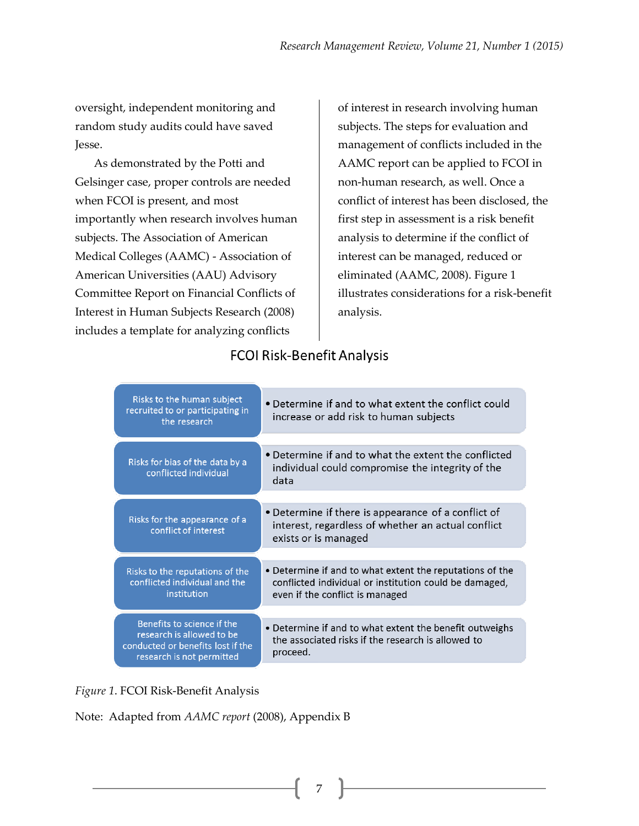oversight, independent monitoring and random study audits could have saved Jesse.

As demonstrated by the Potti and Gelsinger case, proper controls are needed when FCOI is present, and most importantly when research involves human subjects. The Association of American Medical Colleges (AAMC) - Association of American Universities (AAU) Advisory Committee Report on Financial Conflicts of Interest in Human Subjects Research (2008) includes a template for analyzing conflicts

of interest in research involving human subjects. The steps for evaluation and management of conflicts included in the AAMC report can be applied to FCOI in non-human research, as well. Once a conflict of interest has been disclosed, the first step in assessment is a risk benefit analysis to determine if the conflict of interest can be managed, reduced or eliminated (AAMC, 2008). Figure 1 illustrates considerations for a risk-benefit analysis.

# **FCOI Risk-Benefit Analysis**

| Risks to the human subject<br>recruited to or participating in<br>the research                                            | • Determine if and to what extent the conflict could<br>increase or add risk to human subjects                                                        |
|---------------------------------------------------------------------------------------------------------------------------|-------------------------------------------------------------------------------------------------------------------------------------------------------|
|                                                                                                                           |                                                                                                                                                       |
| Risks for bias of the data by a<br>conflicted individual                                                                  | • Determine if and to what the extent the conflicted<br>individual could compromise the integrity of the<br>data                                      |
|                                                                                                                           |                                                                                                                                                       |
| Risks for the appearance of a<br>conflict of interest                                                                     | • Determine if there is appearance of a conflict of<br>interest, regardless of whether an actual conflict<br>exists or is managed                     |
|                                                                                                                           |                                                                                                                                                       |
| Risks to the reputations of the<br>conflicted individual and the<br>institution                                           | • Determine if and to what extent the reputations of the<br>conflicted individual or institution could be damaged,<br>even if the conflict is managed |
|                                                                                                                           |                                                                                                                                                       |
| Benefits to science if the<br>research is allowed to be<br>conducted or benefits lost if the<br>research is not permitted | • Determine if and to what extent the benefit outweighs<br>the associated risks if the research is allowed to<br>proceed.                             |

*Figure 1*. FCOI Risk-Benefit Analysis

Note: Adapted from *AAMC report* (2008), Appendix B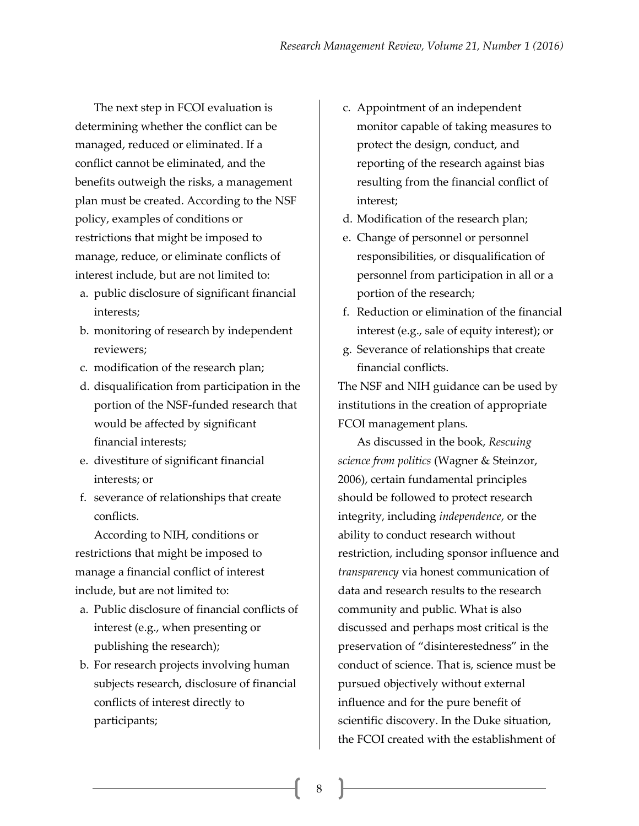The next step in FCOI evaluation is determining whether the conflict can be managed, reduced or eliminated. If a conflict cannot be eliminated, and the benefits outweigh the risks, a management plan must be created. According to the NSF policy, examples of conditions or restrictions that might be imposed to manage, reduce, or eliminate conflicts of interest include, but are not limited to:

- a. public disclosure of significant financial interests;
- b. monitoring of research by independent reviewers;
- c. modification of the research plan;
- d. disqualification from participation in the portion of the NSF-funded research that would be affected by significant financial interests;
- e. divestiture of significant financial interests; or
- f. severance of relationships that create conflicts.

According to NIH, conditions or restrictions that might be imposed to manage a financial conflict of interest include, but are not limited to:

- a. Public disclosure of financial conflicts of interest (e.g., when presenting or publishing the research);
- b. For research projects involving human subjects research, disclosure of financial conflicts of interest directly to participants;
- c. Appointment of an independent monitor capable of taking measures to protect the design, conduct, and reporting of the research against bias resulting from the financial conflict of interest;
- d. Modification of the research plan;
- e. Change of personnel or personnel responsibilities, or disqualification of personnel from participation in all or a portion of the research;
- f. Reduction or elimination of the financial interest (e.g., sale of equity interest); or
- g. Severance of relationships that create financial conflicts.

The NSF and NIH guidance can be used by institutions in the creation of appropriate FCOI management plans.

As discussed in the book, *Rescuing science from politics* (Wagner & Steinzor, 2006), certain fundamental principles should be followed to protect research integrity, including *independence*, or the ability to conduct research without restriction, including sponsor influence and *transparency* via honest communication of data and research results to the research community and public. What is also discussed and perhaps most critical is the preservation of "disinterestedness" in the conduct of science. That is, science must be pursued objectively without external influence and for the pure benefit of scientific discovery. In the Duke situation, the FCOI created with the establishment of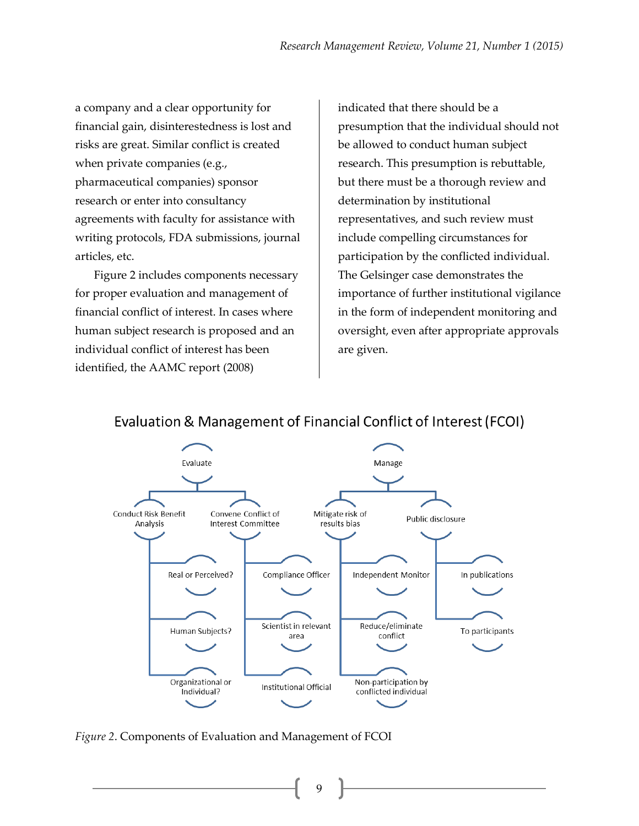a company and a clear opportunity for financial gain, disinterestedness is lost and risks are great. Similar conflict is created when private companies (e.g., pharmaceutical companies) sponsor research or enter into consultancy agreements with faculty for assistance with writing protocols, FDA submissions, journal articles, etc.

Figure 2 includes components necessary for proper evaluation and management of financial conflict of interest. In cases where human subject research is proposed and an individual conflict of interest has been identified, the AAMC report (2008)

indicated that there should be a presumption that the individual should not be allowed to conduct human subject research. This presumption is rebuttable, but there must be a thorough review and determination by institutional representatives, and such review must include compelling circumstances for participation by the conflicted individual. The Gelsinger case demonstrates the importance of further institutional vigilance in the form of independent monitoring and oversight, even after appropriate approvals are given.



# Evaluation & Management of Financial Conflict of Interest (FCOI)

*Figure 2*. Components of Evaluation and Management of FCOI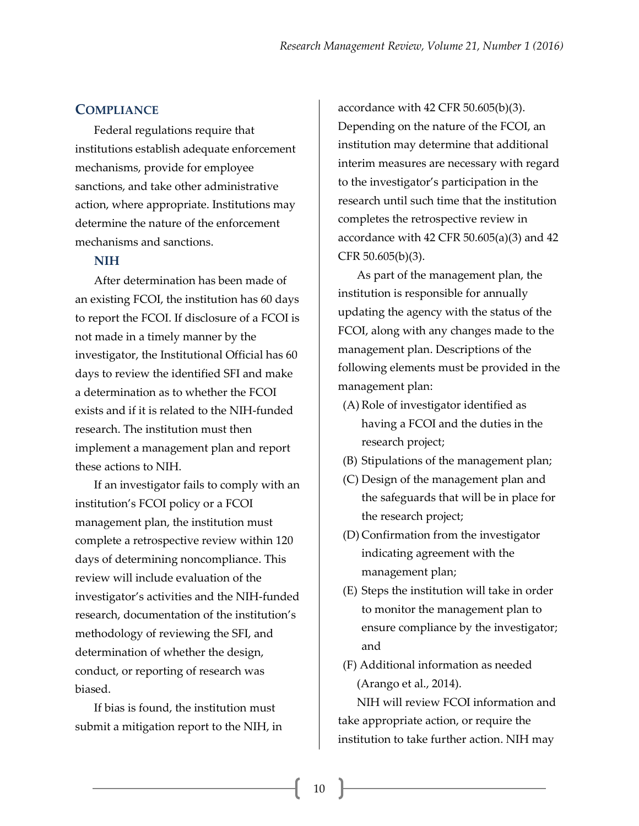#### **COMPLIANCE**

Federal regulations require that institutions establish adequate enforcement mechanisms, provide for employee sanctions, and take other administrative action, where appropriate. Institutions may determine the nature of the enforcement mechanisms and sanctions.

### **NIH**

After determination has been made of an existing FCOI, the institution has 60 days to report the FCOI. If disclosure of a FCOI is not made in a timely manner by the investigator, the Institutional Official has 60 days to review the identified SFI and make a determination as to whether the FCOI exists and if it is related to the NIH-funded research. The institution must then implement a management plan and report these actions to NIH.

If an investigator fails to comply with an institution's FCOI policy or a FCOI management plan, the institution must complete a retrospective review within 120 days of determining noncompliance. This review will include evaluation of the investigator's activities and the NIH-funded research, documentation of the institution's methodology of reviewing the SFI, and determination of whether the design, conduct, or reporting of research was biased.

If bias is found, the institution must submit a mitigation report to the NIH, in accordance with 42 CFR 50.605(b)(3). Depending on the nature of the FCOI, an institution may determine that additional interim measures are necessary with regard to the investigator's participation in the research until such time that the institution completes the retrospective review in accordance with 42 CFR  $50.605(a)(3)$  and 42 CFR 50.605(b)(3).

As part of the management plan, the institution is responsible for annually updating the agency with the status of the FCOI, along with any changes made to the management plan. Descriptions of the following elements must be provided in the management plan:

- (A) Role of investigator identified as having a FCOI and the duties in the research project;
- (B) Stipulations of the management plan;
- (C) Design of the management plan and the safeguards that will be in place for the research project;
- (D) Confirmation from the investigator indicating agreement with the management plan;
- (E) Steps the institution will take in order to monitor the management plan to ensure compliance by the investigator; and
- (F) Additional information as needed (Arango et al., 2014).

NIH will review FCOI information and take appropriate action, or require the institution to take further action. NIH may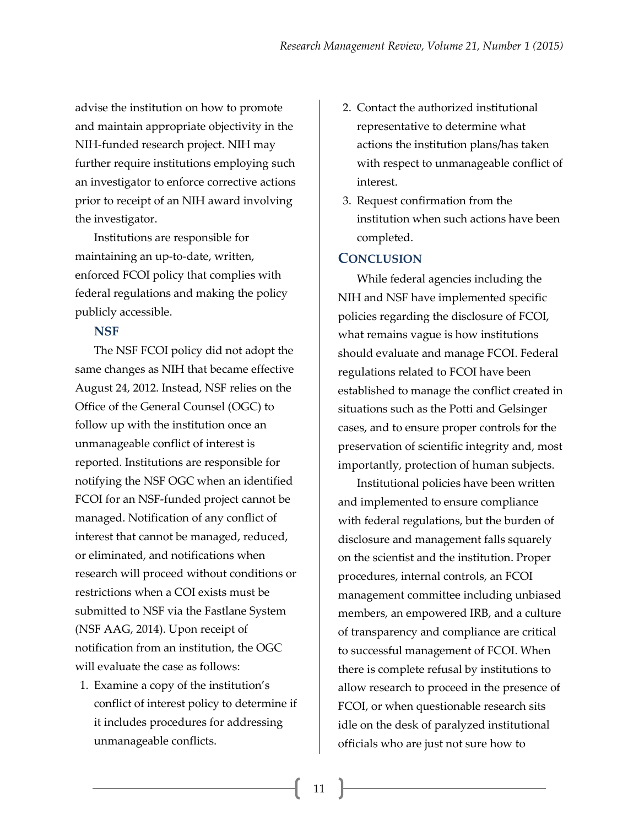advise the institution on how to promote and maintain appropriate objectivity in the NIH-funded research project. NIH may further require institutions employing such an investigator to enforce corrective actions prior to receipt of an NIH award involving the investigator.

Institutions are responsible for maintaining an up-to-date, written, enforced FCOI policy that complies with federal regulations and making the policy publicly accessible.

### **NSF**

The NSF FCOI policy did not adopt the same changes as NIH that became effective August 24, 2012. Instead, NSF relies on the Office of the General Counsel (OGC) to follow up with the institution once an unmanageable conflict of interest is reported. Institutions are responsible for notifying the NSF OGC when an identified FCOI for an NSF-funded project cannot be managed. Notification of any conflict of interest that cannot be managed, reduced, or eliminated, and notifications when research will proceed without conditions or restrictions when a COI exists must be submitted to NSF via the Fastlane System (NSF AAG, 2014). Upon receipt of notification from an institution, the OGC will evaluate the case as follows:

1. Examine a copy of the institution's conflict of interest policy to determine if it includes procedures for addressing unmanageable conflicts.

- 2. Contact the authorized institutional representative to determine what actions the institution plans/has taken with respect to unmanageable conflict of interest.
- 3. Request confirmation from the institution when such actions have been completed.

# **CONCLUSION**

While federal agencies including the NIH and NSF have implemented specific policies regarding the disclosure of FCOI, what remains vague is how institutions should evaluate and manage FCOI. Federal regulations related to FCOI have been established to manage the conflict created in situations such as the Potti and Gelsinger cases, and to ensure proper controls for the preservation of scientific integrity and, most importantly, protection of human subjects.

Institutional policies have been written and implemented to ensure compliance with federal regulations, but the burden of disclosure and management falls squarely on the scientist and the institution. Proper procedures, internal controls, an FCOI management committee including unbiased members, an empowered IRB, and a culture of transparency and compliance are critical to successful management of FCOI. When there is complete refusal by institutions to allow research to proceed in the presence of FCOI, or when questionable research sits idle on the desk of paralyzed institutional officials who are just not sure how to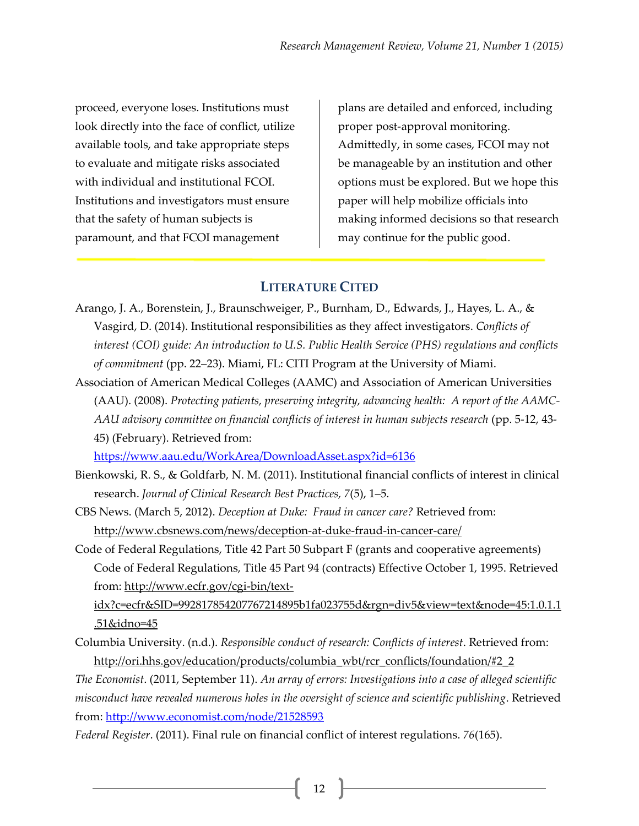proceed, everyone loses. Institutions must look directly into the face of conflict, utilize available tools, and take appropriate steps to evaluate and mitigate risks associated with individual and institutional FCOI. Institutions and investigators must ensure that the safety of human subjects is paramount, and that FCOI management

plans are detailed and enforced, including proper post-approval monitoring. Admittedly, in some cases, FCOI may not be manageable by an institution and other options must be explored. But we hope this paper will help mobilize officials into making informed decisions so that research may continue for the public good.

### **LITERATURE CITED**

- Arango, J. A., Borenstein, J., Braunschweiger, P., Burnham, D., Edwards, J., Hayes, L. A., & Vasgird, D. (2014). Institutional responsibilities as they affect investigators. *Conflicts of interest (COI) guide: An introduction to U.S. Public Health Service (PHS) regulations and conflicts of commitment* (pp. 22–23). Miami, FL: CITI Program at the University of Miami.
- Association of American Medical Colleges (AAMC) and Association of American Universities (AAU). (2008). *Protecting patients, preserving integrity, advancing health: A report of the AAMC-AAU advisory committee on financial conflicts of interest in human subjects research* (pp. 5-12, 43- 45) (February). Retrieved from:

<https://www.aau.edu/WorkArea/DownloadAsset.aspx?id=6136>

- Bienkowski, R. S., & Goldfarb, N. M. (2011). Institutional financial conflicts of interest in clinical research. *Journal of Clinical Research Best Practices, 7*(5), 1–5.
- CBS News. (March 5, 2012). *Deception at Duke: Fraud in cancer care?* Retrieved from: <http://www.cbsnews.com/news/deception-at-duke-fraud-in-cancer-care/>
- Code of Federal Regulations, Title 42 Part 50 Subpart F (grants and cooperative agreements) Code of Federal Regulations, Title 45 Part 94 (contracts) Effective October 1, 1995. Retrieved from: [http://www.ecfr.gov/cgi-bin/text-](http://www.ecfr.gov/cgi-bin/text-idx?c=ecfr&SID=992817854207767214895b1fa023755d&rgn=div5&view=text&node=45:1.0.1.1.51&idno=45)

[idx?c=ecfr&SID=992817854207767214895b1fa023755d&rgn=div5&view=text&node=45:1.0.1.1](http://www.ecfr.gov/cgi-bin/text-idx?c=ecfr&SID=992817854207767214895b1fa023755d&rgn=div5&view=text&node=45:1.0.1.1.51&idno=45) [.51&idno=45](http://www.ecfr.gov/cgi-bin/text-idx?c=ecfr&SID=992817854207767214895b1fa023755d&rgn=div5&view=text&node=45:1.0.1.1.51&idno=45)

Columbia University. (n.d.). *Responsible conduct of research: Conflicts of interest*. Retrieved from: [http://ori.hhs.gov/education/products/columbia\\_wbt/rcr\\_conflicts/foundation/#2\\_2](http://ori.hhs.gov/education/products/columbia_wbt/rcr_conflicts/foundation/#2_2)

*The Economist*. (2011, September 11). *An array of errors: Investigations into a case of alleged scientific misconduct have revealed numerous holes in the oversight of science and scientific publishing*. Retrieved from: <http://www.economist.com/node/21528593>

*Federal Register*. (2011). Final rule on financial conflict of interest regulations. *76*(165).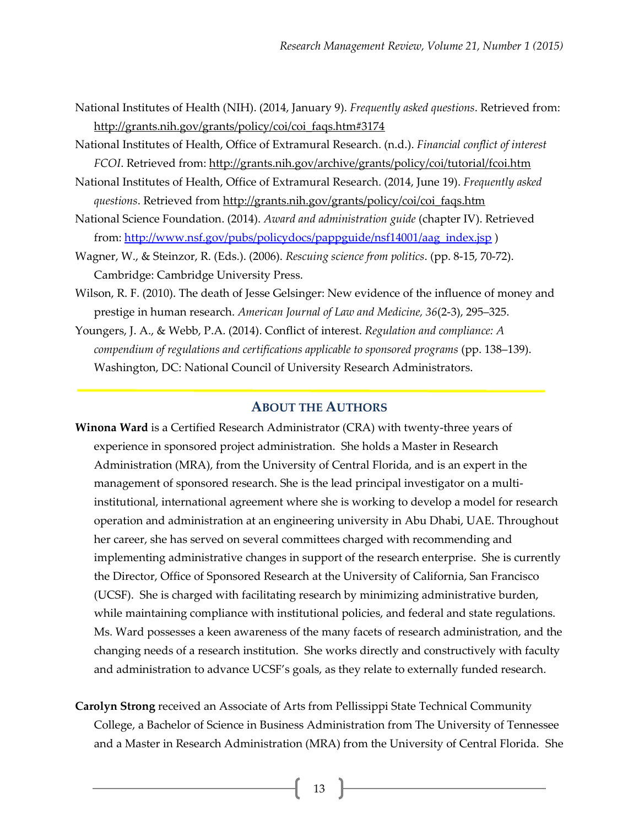- National Institutes of Health (NIH). (2014, January 9). *Frequently asked questions*. Retrieved from: [http://grants.nih.gov/grants/policy/coi/coi\\_faqs.htm#3174](http://grants.nih.gov/grants/policy/coi/coi_faqs.htm#3174)
- National Institutes of Health, Office of Extramural Research. (n.d.). *Financial conflict of interest FCOI*. Retrieved from: <http://grants.nih.gov/archive/grants/policy/coi/tutorial/fcoi.htm>
- National Institutes of Health, Office of Extramural Research. (2014, June 19). *Frequently asked questions*. Retrieved fro[m http://grants.nih.gov/grants/policy/coi/coi\\_faqs.htm](http://grants.nih.gov/grants/policy/coi/coi_faqs.htm)
- National Science Foundation. (2014). *Award and administration guide* (chapter IV). Retrieved from: [http://www.nsf.gov/pubs/policydocs/pappguide/nsf14001/aag\\_index.jsp](http://www.nsf.gov/pubs/policydocs/pappguide/nsf14001/aag_index.jsp) )
- Wagner, W., & Steinzor, R. (Eds.). (2006). *Rescuing science from politics*. (pp. 8-15, 70-72). Cambridge: Cambridge University Press.
- Wilson, R. F. (2010). The death of Jesse Gelsinger: New evidence of the influence of money and prestige in human research. *American Journal of Law and Medicine, 36*(2-3), 295–325.
- Youngers, J. A., & Webb, P.A. (2014). Conflict of interest. *Regulation and compliance: A compendium of regulations and certifications applicable to sponsored programs* (pp. 138–139). Washington, DC: National Council of University Research Administrators.

### **ABOUT THE AUTHORS**

- **Winona Ward** is a Certified Research Administrator (CRA) with twenty-three years of experience in sponsored project administration. She holds a Master in Research Administration (MRA), from the University of Central Florida, and is an expert in the management of sponsored research. She is the lead principal investigator on a multiinstitutional, international agreement where she is working to develop a model for research operation and administration at an engineering university in Abu Dhabi, UAE. Throughout her career, she has served on several committees charged with recommending and implementing administrative changes in support of the research enterprise. She is currently the Director, Office of Sponsored Research at the University of California, San Francisco (UCSF). She is charged with facilitating research by minimizing administrative burden, while maintaining compliance with institutional policies, and federal and state regulations. Ms. Ward possesses a keen awareness of the many facets of research administration, and the changing needs of a research institution. She works directly and constructively with faculty and administration to advance UCSF's goals, as they relate to externally funded research.
- **Carolyn Strong** received an Associate of Arts from Pellissippi State Technical Community College, a Bachelor of Science in Business Administration from The University of Tennessee and a Master in Research Administration (MRA) from the University of Central Florida. She